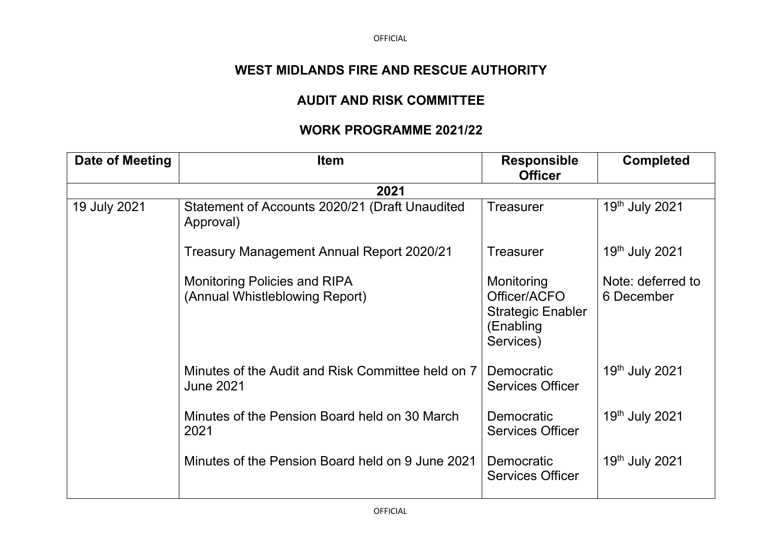OFFICIAL

## **WEST MIDLANDS FIRE AND RESCUE AUTHORITY**

## **AUDIT AND RISK COMMITTEE**

## **WORK PROGRAMME 2021/22**

| Date of Meeting | <b>Item</b>                                                           | <b>Responsible</b><br><b>Officer</b>                                             | <b>Completed</b>                |
|-----------------|-----------------------------------------------------------------------|----------------------------------------------------------------------------------|---------------------------------|
|                 | 2021                                                                  |                                                                                  |                                 |
| 19 July 2021    | Statement of Accounts 2020/21 (Draft Unaudited<br>Approval)           | <b>Treasurer</b>                                                                 | 19th July 2021                  |
|                 | <b>Treasury Management Annual Report 2020/21</b>                      | <b>Treasurer</b>                                                                 | 19th July 2021                  |
|                 | <b>Monitoring Policies and RIPA</b><br>(Annual Whistleblowing Report) | Monitoring<br>Officer/ACFO<br><b>Strategic Enabler</b><br>(Enabling<br>Services) | Note: deferred to<br>6 December |
|                 | Minutes of the Audit and Risk Committee held on 7<br><b>June 2021</b> | Democratic<br><b>Services Officer</b>                                            | 19th July 2021                  |
|                 | Minutes of the Pension Board held on 30 March<br>2021                 | <b>Democratic</b><br><b>Services Officer</b>                                     | 19th July 2021                  |
|                 | Minutes of the Pension Board held on 9 June 2021                      | Democratic<br><b>Services Officer</b>                                            | 19th July 2021                  |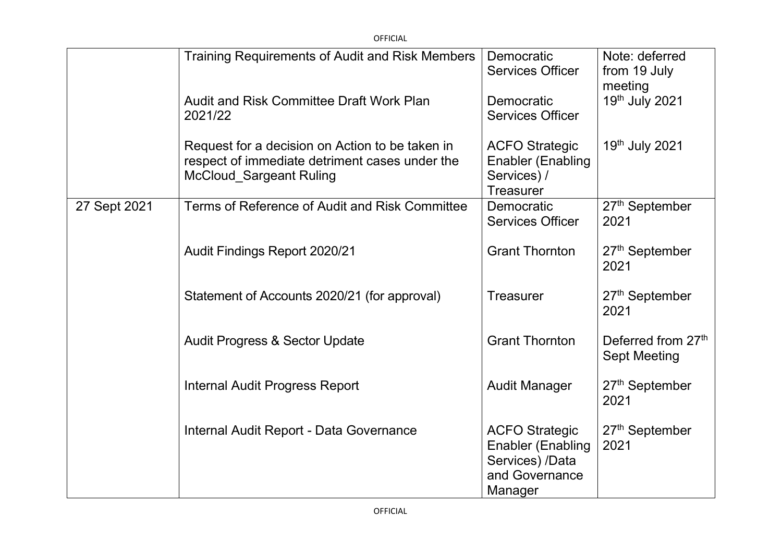|              | <b>OFFICIAL</b>                                                                                                                     |                                                                                                   |                                                       |
|--------------|-------------------------------------------------------------------------------------------------------------------------------------|---------------------------------------------------------------------------------------------------|-------------------------------------------------------|
|              | <b>Training Requirements of Audit and Risk Members</b>                                                                              | Democratic<br><b>Services Officer</b>                                                             | Note: deferred<br>from 19 July<br>meeting             |
|              | <b>Audit and Risk Committee Draft Work Plan</b><br>2021/22                                                                          | Democratic<br><b>Services Officer</b>                                                             | 19th July 2021                                        |
|              | Request for a decision on Action to be taken in<br>respect of immediate detriment cases under the<br><b>McCloud Sargeant Ruling</b> | <b>ACFO Strategic</b><br><b>Enabler (Enabling</b><br>Services) /<br><b>Treasurer</b>              | 19th July 2021                                        |
| 27 Sept 2021 | Terms of Reference of Audit and Risk Committee                                                                                      | Democratic<br><b>Services Officer</b>                                                             | 27 <sup>th</sup> September<br>2021                    |
|              | <b>Audit Findings Report 2020/21</b>                                                                                                | <b>Grant Thornton</b>                                                                             | 27 <sup>th</sup> September<br>2021                    |
|              | Statement of Accounts 2020/21 (for approval)                                                                                        | <b>Treasurer</b>                                                                                  | 27 <sup>th</sup> September<br>2021                    |
|              | <b>Audit Progress &amp; Sector Update</b>                                                                                           | <b>Grant Thornton</b>                                                                             | Deferred from 27 <sup>th</sup><br><b>Sept Meeting</b> |
|              | <b>Internal Audit Progress Report</b>                                                                                               | <b>Audit Manager</b>                                                                              | 27 <sup>th</sup> September<br>2021                    |
|              | Internal Audit Report - Data Governance                                                                                             | <b>ACFO Strategic</b><br><b>Enabler (Enabling</b><br>Services) /Data<br>and Governance<br>Manager | 27 <sup>th</sup> September<br>2021                    |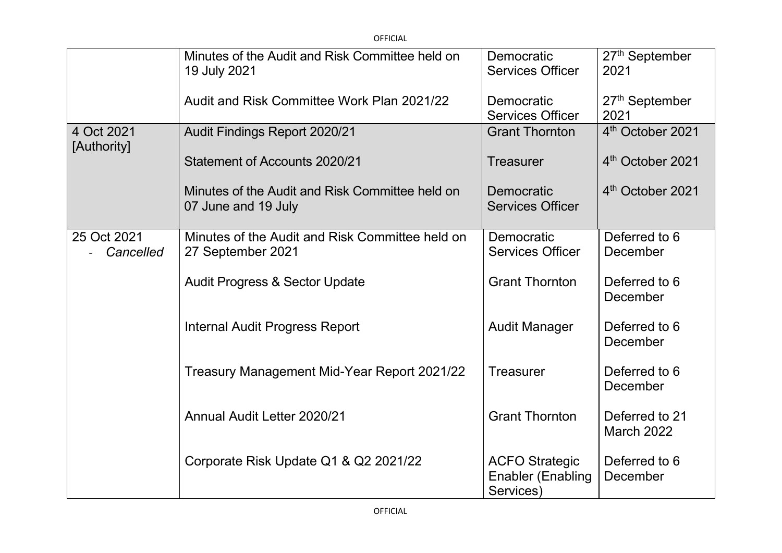| <b>OFFICIAL</b>           |                                                                        |                                                                |                                     |
|---------------------------|------------------------------------------------------------------------|----------------------------------------------------------------|-------------------------------------|
|                           | Minutes of the Audit and Risk Committee held on<br>19 July 2021        | Democratic<br><b>Services Officer</b>                          | 27 <sup>th</sup> September<br>2021  |
|                           | Audit and Risk Committee Work Plan 2021/22                             | Democratic<br><b>Services Officer</b>                          | 27 <sup>th</sup> September<br>2021  |
| 4 Oct 2021<br>[Authority] | Audit Findings Report 2020/21                                          | <b>Grant Thornton</b>                                          | 4 <sup>th</sup> October 2021        |
|                           | Statement of Accounts 2020/21                                          | <b>Treasurer</b>                                               | 4 <sup>th</sup> October 2021        |
|                           | Minutes of the Audit and Risk Committee held on<br>07 June and 19 July | Democratic<br><b>Services Officer</b>                          | 4 <sup>th</sup> October 2021        |
| 25 Oct 2021<br>Cancelled  | Minutes of the Audit and Risk Committee held on<br>27 September 2021   | Democratic<br><b>Services Officer</b>                          | Deferred to 6<br>December           |
|                           | <b>Audit Progress &amp; Sector Update</b>                              | <b>Grant Thornton</b>                                          | Deferred to 6<br>December           |
|                           | <b>Internal Audit Progress Report</b>                                  | <b>Audit Manager</b>                                           | Deferred to 6<br>December           |
|                           | Treasury Management Mid-Year Report 2021/22                            | <b>Treasurer</b>                                               | Deferred to 6<br>December           |
|                           | Annual Audit Letter 2020/21                                            | <b>Grant Thornton</b>                                          | Deferred to 21<br><b>March 2022</b> |
|                           | Corporate Risk Update Q1 & Q2 2021/22                                  | <b>ACFO Strategic</b><br><b>Enabler (Enabling</b><br>Services) | Deferred to 6<br>December           |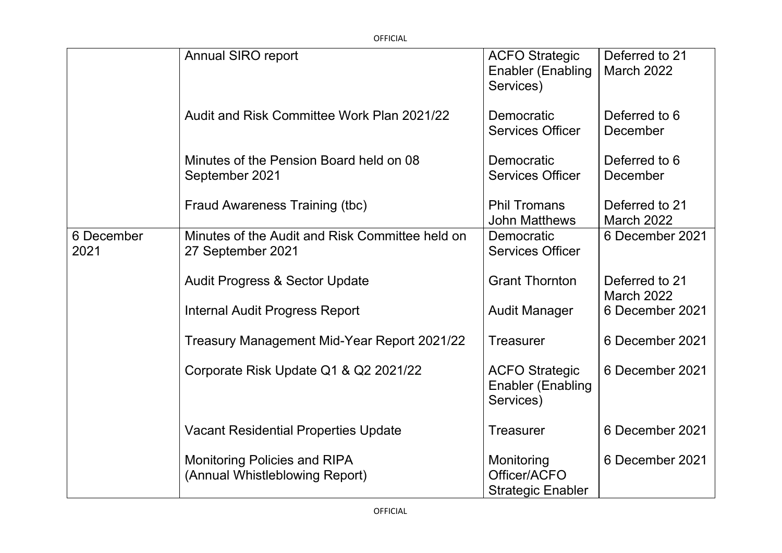| <b>OFFICIAL</b>    |                                                                       |                                                                |                                     |
|--------------------|-----------------------------------------------------------------------|----------------------------------------------------------------|-------------------------------------|
|                    | <b>Annual SIRO report</b>                                             | <b>ACFO Strategic</b><br><b>Enabler (Enabling</b><br>Services) | Deferred to 21<br>March 2022        |
|                    | Audit and Risk Committee Work Plan 2021/22                            | Democratic<br><b>Services Officer</b>                          | Deferred to 6<br>December           |
|                    | Minutes of the Pension Board held on 08<br>September 2021             | Democratic<br><b>Services Officer</b>                          | Deferred to 6<br>December           |
|                    | Fraud Awareness Training (tbc)                                        | <b>Phil Tromans</b><br><b>John Matthews</b>                    | Deferred to 21<br><b>March 2022</b> |
| 6 December<br>2021 | Minutes of the Audit and Risk Committee held on<br>27 September 2021  | Democratic<br><b>Services Officer</b>                          | 6 December 2021                     |
|                    | <b>Audit Progress &amp; Sector Update</b>                             | <b>Grant Thornton</b>                                          | Deferred to 21<br><b>March 2022</b> |
|                    | <b>Internal Audit Progress Report</b>                                 | <b>Audit Manager</b>                                           | 6 December 2021                     |
|                    | Treasury Management Mid-Year Report 2021/22                           | <b>Treasurer</b>                                               | 6 December 2021                     |
|                    | Corporate Risk Update Q1 & Q2 2021/22                                 | <b>ACFO Strategic</b><br><b>Enabler (Enabling</b><br>Services) | 6 December 2021                     |
|                    | <b>Vacant Residential Properties Update</b>                           | <b>Treasurer</b>                                               | 6 December 2021                     |
|                    | <b>Monitoring Policies and RIPA</b><br>(Annual Whistleblowing Report) | Monitoring<br>Officer/ACFO<br><b>Strategic Enabler</b>         | 6 December 2021                     |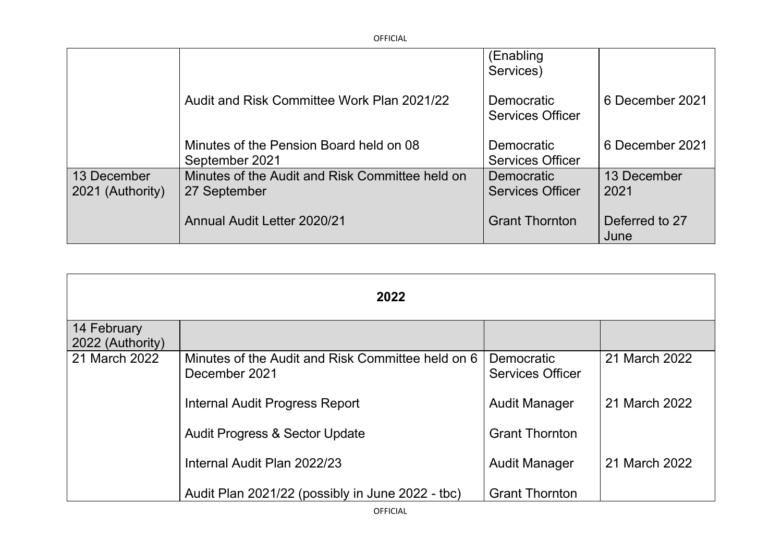|                                 |                                                                 | (Enabling<br>Services)                       |                        |
|---------------------------------|-----------------------------------------------------------------|----------------------------------------------|------------------------|
|                                 | Audit and Risk Committee Work Plan 2021/22                      | <b>Democratic</b><br><b>Services Officer</b> | 6 December 2021        |
|                                 | Minutes of the Pension Board held on 08<br>September 2021       | Democratic<br><b>Services Officer</b>        | 6 December 2021        |
| 13 December<br>2021 (Authority) | Minutes of the Audit and Risk Committee held on<br>27 September | <b>Democratic</b><br><b>Services Officer</b> | 13 December<br>2021    |
|                                 | Annual Audit Letter 2020/21                                     | <b>Grant Thornton</b>                        | Deferred to 27<br>June |

OFFICIAL

| 2022             |                                                   |                         |               |
|------------------|---------------------------------------------------|-------------------------|---------------|
| 14 February      |                                                   |                         |               |
| 2022 (Authority) |                                                   |                         |               |
| 21 March 2022    | Minutes of the Audit and Risk Committee held on 6 | Democratic              | 21 March 2022 |
|                  | December 2021                                     | <b>Services Officer</b> |               |
|                  | Internal Audit Progress Report                    | <b>Audit Manager</b>    | 21 March 2022 |
|                  | <b>Audit Progress &amp; Sector Update</b>         | <b>Grant Thornton</b>   |               |
|                  | Internal Audit Plan 2022/23                       | <b>Audit Manager</b>    | 21 March 2022 |
|                  | Audit Plan 2021/22 (possibly in June 2022 - tbc)  | <b>Grant Thornton</b>   |               |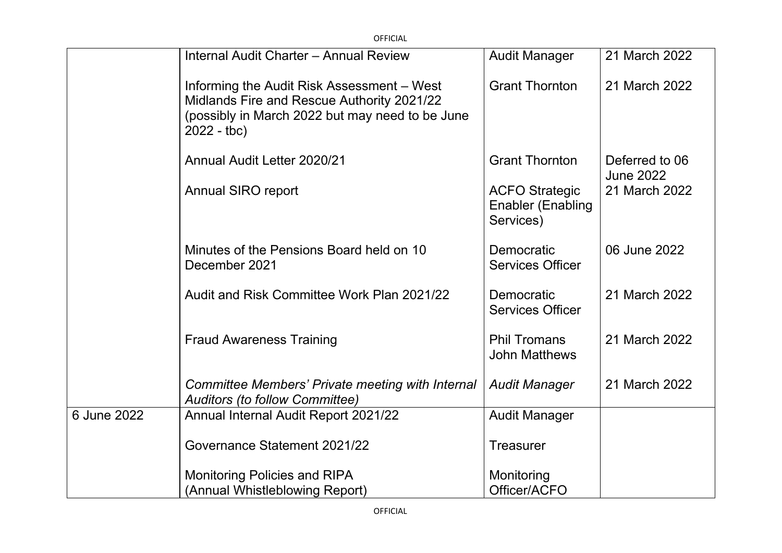|             | <b>OFFICIAL</b>                                                                                                                                             |                                                                |                                    |
|-------------|-------------------------------------------------------------------------------------------------------------------------------------------------------------|----------------------------------------------------------------|------------------------------------|
|             | Internal Audit Charter - Annual Review                                                                                                                      | <b>Audit Manager</b>                                           | 21 March 2022                      |
|             | Informing the Audit Risk Assessment - West<br>Midlands Fire and Rescue Authority 2021/22<br>(possibly in March 2022 but may need to be June<br>$2022 - tbc$ | <b>Grant Thornton</b>                                          | 21 March 2022                      |
|             | Annual Audit Letter 2020/21                                                                                                                                 | <b>Grant Thornton</b>                                          | Deferred to 06<br><b>June 2022</b> |
|             | <b>Annual SIRO report</b>                                                                                                                                   | <b>ACFO Strategic</b><br><b>Enabler (Enabling</b><br>Services) | 21 March 2022                      |
|             | Minutes of the Pensions Board held on 10<br>December 2021                                                                                                   | Democratic<br><b>Services Officer</b>                          | 06 June 2022                       |
|             | Audit and Risk Committee Work Plan 2021/22                                                                                                                  | Democratic<br><b>Services Officer</b>                          | 21 March 2022                      |
|             | <b>Fraud Awareness Training</b>                                                                                                                             | <b>Phil Tromans</b><br><b>John Matthews</b>                    | 21 March 2022                      |
|             | Committee Members' Private meeting with Internal<br><b>Auditors (to follow Committee)</b>                                                                   | <b>Audit Manager</b>                                           | 21 March 2022                      |
| 6 June 2022 | Annual Internal Audit Report 2021/22                                                                                                                        | <b>Audit Manager</b>                                           |                                    |
|             | Governance Statement 2021/22                                                                                                                                | <b>Treasurer</b>                                               |                                    |
|             | <b>Monitoring Policies and RIPA</b>                                                                                                                         | Monitoring                                                     |                                    |
|             | (Annual Whistleblowing Report)                                                                                                                              | Officer/ACFO                                                   |                                    |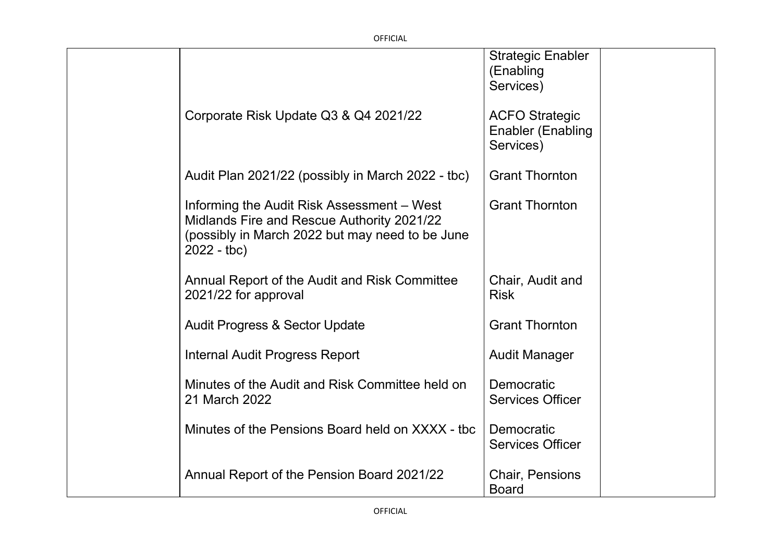OFFICIAL

|                                                                                                                                                             | <b>Strategic Enabler</b><br>(Enabling<br>Services)             |
|-------------------------------------------------------------------------------------------------------------------------------------------------------------|----------------------------------------------------------------|
| Corporate Risk Update Q3 & Q4 2021/22                                                                                                                       | <b>ACFO Strategic</b><br><b>Enabler (Enabling</b><br>Services) |
| Audit Plan 2021/22 (possibly in March 2022 - tbc)                                                                                                           | <b>Grant Thornton</b>                                          |
| Informing the Audit Risk Assessment – West<br>Midlands Fire and Rescue Authority 2021/22<br>(possibly in March 2022 but may need to be June<br>$2022 - tbc$ | <b>Grant Thornton</b>                                          |
| Annual Report of the Audit and Risk Committee<br>2021/22 for approval                                                                                       | Chair, Audit and<br><b>Risk</b>                                |
| <b>Audit Progress &amp; Sector Update</b>                                                                                                                   | <b>Grant Thornton</b>                                          |
| <b>Internal Audit Progress Report</b>                                                                                                                       | <b>Audit Manager</b>                                           |
| Minutes of the Audit and Risk Committee held on<br>21 March 2022                                                                                            | Democratic<br><b>Services Officer</b>                          |
| Minutes of the Pensions Board held on XXXX - tbc                                                                                                            | Democratic<br><b>Services Officer</b>                          |
| Annual Report of the Pension Board 2021/22                                                                                                                  | <b>Chair, Pensions</b><br><b>Board</b>                         |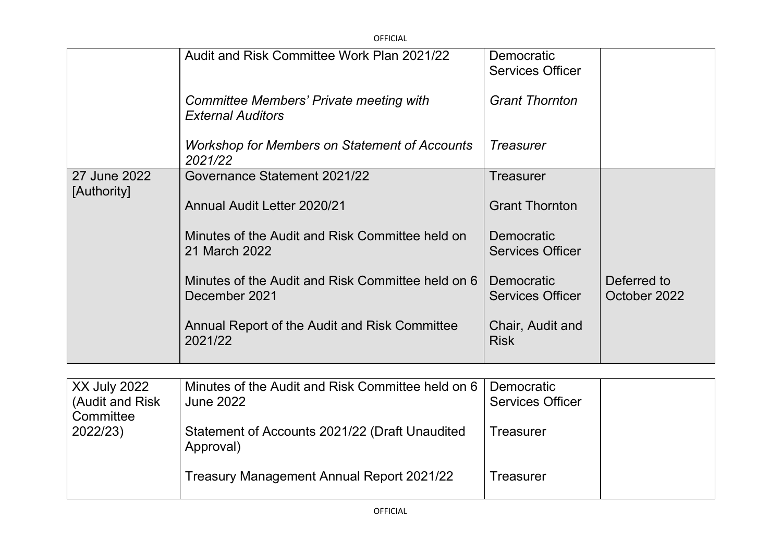| <b>OFFICIAL</b> |                                                                     |                                              |                             |
|-----------------|---------------------------------------------------------------------|----------------------------------------------|-----------------------------|
|                 | Audit and Risk Committee Work Plan 2021/22                          | Democratic<br><b>Services Officer</b>        |                             |
|                 | Committee Members' Private meeting with<br><b>External Auditors</b> | <b>Grant Thornton</b>                        |                             |
|                 | Workshop for Members on Statement of Accounts<br>2021/22            | <b>Treasurer</b>                             |                             |
| 27 June 2022    | Governance Statement 2021/22                                        | Treasurer                                    |                             |
| [Authority]     | <b>Annual Audit Letter 2020/21</b>                                  | <b>Grant Thornton</b>                        |                             |
|                 | Minutes of the Audit and Risk Committee held on<br>21 March 2022    | <b>Democratic</b><br><b>Services Officer</b> |                             |
|                 | Minutes of the Audit and Risk Committee held on 6<br>December 2021  | Democratic<br><b>Services Officer</b>        | Deferred to<br>October 2022 |
|                 | Annual Report of the Audit and Risk Committee<br>2021/22            | Chair, Audit and<br><b>Risk</b>              |                             |

| XX July 2022<br>(Audit and Risk) | Minutes of the Audit and Risk Committee held on 6<br><b>June 2022</b> | Democratic<br><b>Services Officer</b> |  |
|----------------------------------|-----------------------------------------------------------------------|---------------------------------------|--|
| Committee<br>2022/23)            | Statement of Accounts 2021/22 (Draft Unaudited<br>Approval)           | Treasurer                             |  |
|                                  | Treasury Management Annual Report 2021/22                             | Treasurer                             |  |